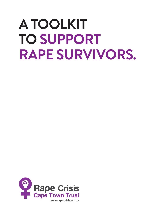# **A TOOLKIT TO SUPPORT RAPE SURVIVORS.**

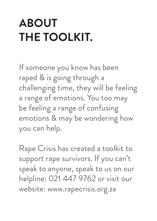# **ABOUT THE TOOLKIT.**

If someone you know has been raped & is going through a challenging time, they will be feeling a range of emotions. You too may be feeling a range of confusing emotions & may be wondering how you can help.

Rape Crisis has created a toolkit to support rape survivors. If you can't speak to anyone, speak to us on our helpline: 021 447 9762 or visit our website: www.rapecrisis.org.za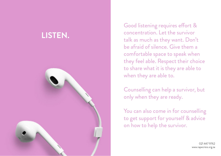# **LISTEN.**



Good listening requires effort & concentration. Let the survivor talk as much as they want. Don't be afraid of silence. Give them a comfortable space to speak when they feel able. Respect their choice to share what it is they are able to when they are able to.

Counselling can help a survivor, but only when they are ready.

You can also come in for counselling to get support for yourself & advice on how to help the survivor.

> 021 447 9762 www.rapecrisis.org.za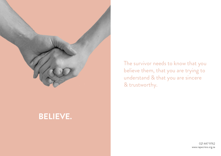

#### **BELIEVE.**

The survivor needs to know that you believe them, that you are trying to understand & that you are sincere & trustworthy.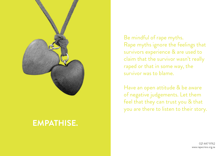

#### **EMPATHISE.**

Be mindful of rape myths. Rape myths ignore the feelings that survivors experience & are used to claim that the survivor wasn't really raped or that in some way, the survivor was to blame.

Have an open attitude & be aware of negative judgements. Let them feel that they can trust you & that you are there to listen to their story.

> 021 447 9762 www.rapecrisis.org.za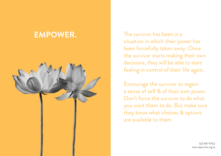## **EMPOWER.**



The survivor has been in a situation in which their power has been forcefully taken away. Once the survivor starts making their own decisions, they will be able to start feeling in control of their life again.

Encourage the survivor to regain a sense of self & of their own power. Don't force the survivor to do what you want them to do. But make sure they know what choices & options are available to them.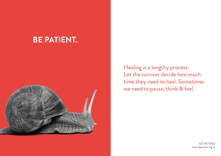#### **BE PATIENT.**



Healing is a lengthy process. Let the survivor decide how much time they need to heal. Sometimes we need to pause, think & feel.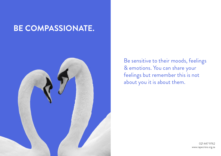## **BE COMPASSIONATE.**



Be sensitive to their moods, feelings & emotions. You can share your feelings but remember this is not about you it is about them.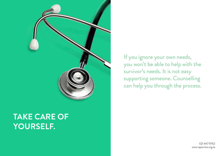

## **TAKE CARE OF YOURSELF.**

If you ignore your own needs, you won't be able to help with the survivor's needs. It is not easy supporting someone. Counselling can help you through the process.